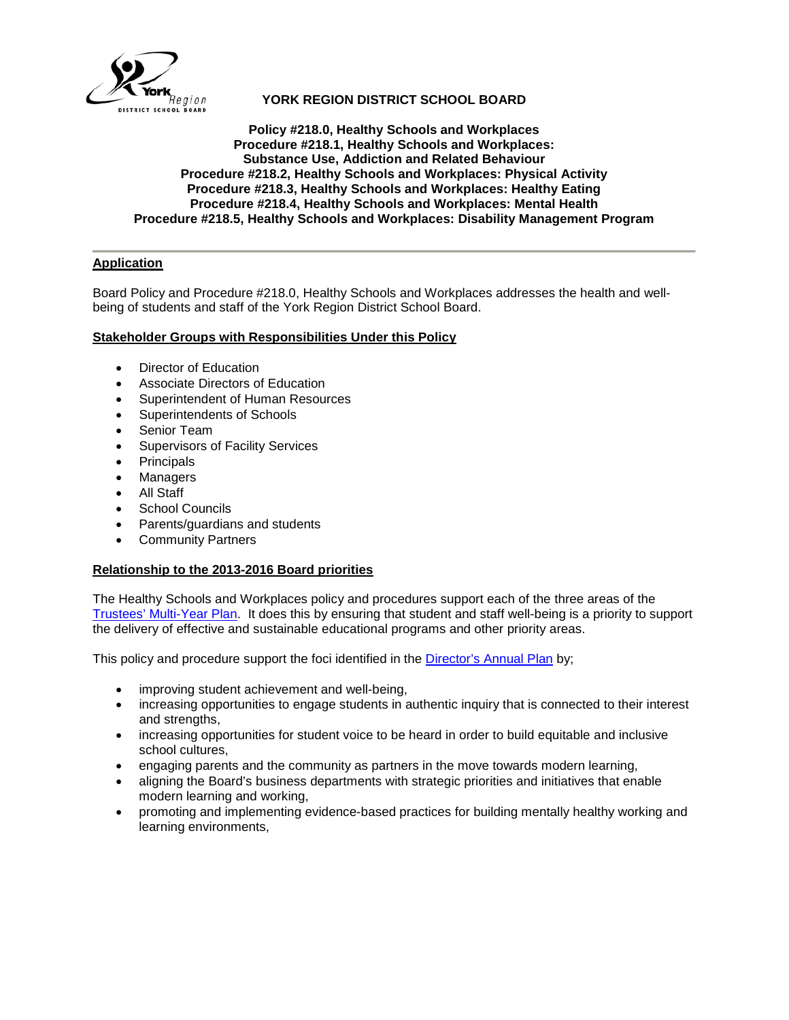

## **YORK REGION DISTRICT SCHOOL BOARD**

## **Policy #218.0, Healthy Schools and Workplaces Procedure #218.1, Healthy Schools and Workplaces: Substance Use, Addiction and Related Behaviour Procedure #218.2, Healthy Schools and Workplaces: Physical Activity Procedure #218.3, Healthy Schools and Workplaces: Healthy Eating Procedure #218.4, Healthy Schools and Workplaces: Mental Health Procedure #218.5, Healthy Schools and Workplaces: Disability Management Program**

## **Application**

Board Policy and Procedure #218.0, Healthy Schools and Workplaces addresses the health and wellbeing of students and staff of the York Region District School Board.

## **Stakeholder Groups with Responsibilities Under this Policy**

- Director of Education
- Associate Directors of Education
- Superintendent of Human Resources
- Superintendents of Schools
- Senior Team
- Supervisors of Facility Services
- Principals
- Managers
- All Staff
- School Councils
- Parents/guardians and students
- Community Partners

## **Relationship to the 2013-2016 Board priorities**

The Healthy Schools and Workplaces policy and procedures support each of the three areas of the [Trustees' Multi-Year Plan.](http://www.yrdsb.ca/AboutUs/BoardPlans/Pages/default.aspx) It does this by ensuring that student and staff well-being is a priority to support the delivery of effective and sustainable educational programs and other priority areas.

This policy and procedure support the foci identified in the [Director's Annual Plan](http://www.yrdsb.ca/AboutUs/BoardPlans/Pages/Directors-Annual-Plan.aspx) by;

- improving student achievement and well-being,
- increasing opportunities to engage students in authentic inquiry that is connected to their interest and strengths,
- increasing opportunities for student voice to be heard in order to build equitable and inclusive school cultures,
- engaging parents and the community as partners in the move towards modern learning,
- aligning the Board's business departments with strategic priorities and initiatives that enable modern learning and working,
- promoting and implementing evidence-based practices for building mentally healthy working and learning environments,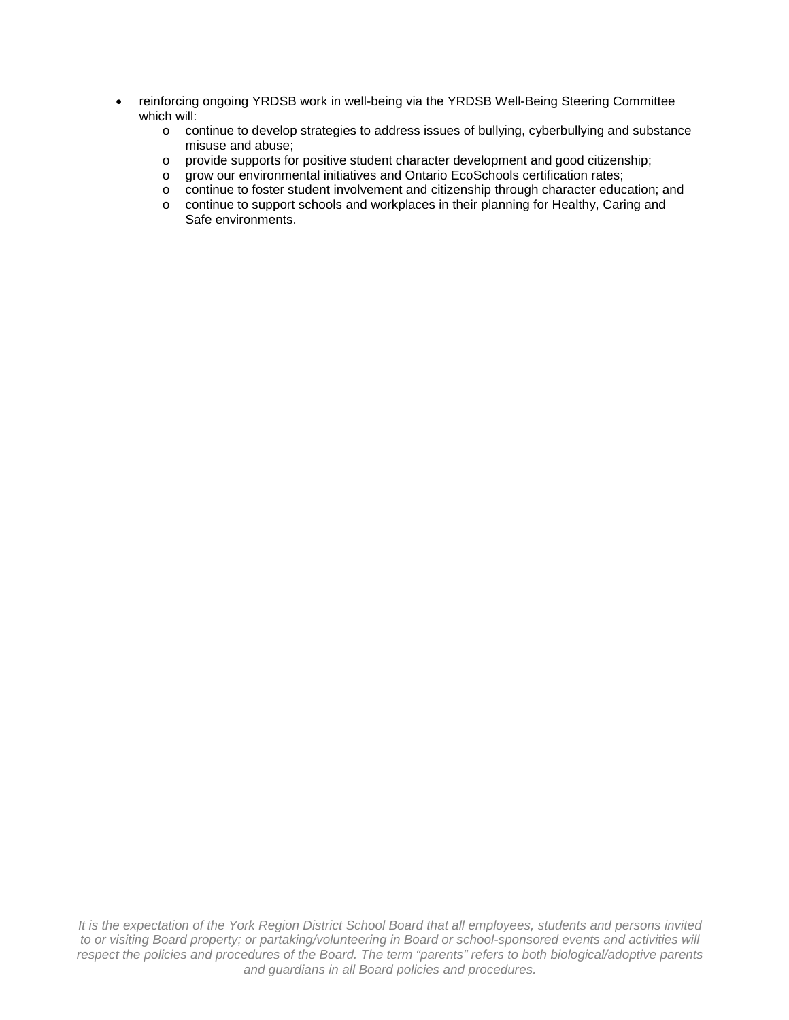- reinforcing ongoing YRDSB work in well-being via the YRDSB Well-Being Steering Committee which will:
	- o continue to develop strategies to address issues of bullying, cyberbullying and substance misuse and abuse;
	- o provide supports for positive student character development and good citizenship;
	- o grow our environmental initiatives and Ontario EcoSchools certification rates;
	- o continue to foster student involvement and citizenship through character education; and
	- o continue to support schools and workplaces in their planning for Healthy, Caring and Safe environments.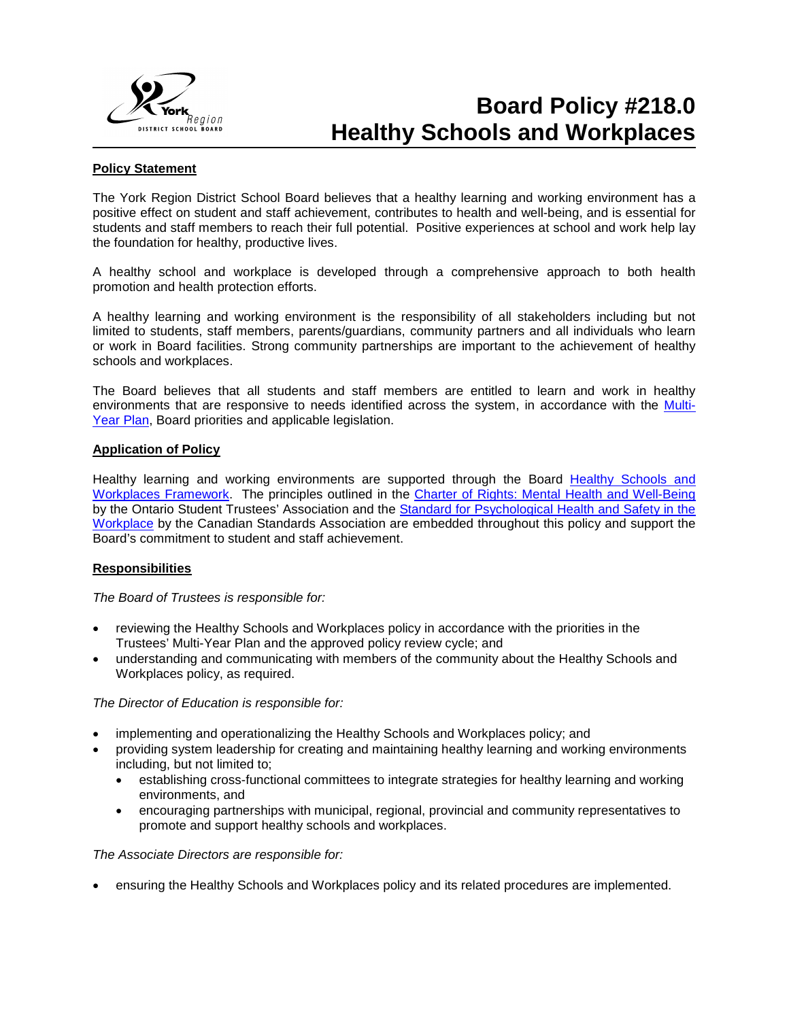

## **Board Policy #218.0 Healthy Schools and Workplaces**

## **Policy Statement**

The York Region District School Board believes that a healthy learning and working environment has a positive effect on student and staff achievement, contributes to health and well-being, and is essential for students and staff members to reach their full potential. Positive experiences at school and work help lay the foundation for healthy, productive lives.

A healthy school and workplace is developed through a comprehensive approach to both health promotion and health protection efforts.

A healthy learning and working environment is the responsibility of all stakeholders including but not limited to students, staff members, parents/guardians, community partners and all individuals who learn or work in Board facilities. Strong community partnerships are important to the achievement of healthy schools and workplaces.

The Board believes that all students and staff members are entitled to learn and work in healthy environments that are responsive to needs identified across the system, in accordance with the [Multi-](http://www.yrdsb.ca/AboutUs/BoardPlans/Pages/default.aspx)[Year Plan,](http://www.yrdsb.ca/AboutUs/BoardPlans/Pages/default.aspx) Board priorities and applicable legislation.

## **Application of Policy**

Healthy learning and working environments are supported through the Board [Healthy Schools and](http://www.yrdsb.ca/Programs/Healthy/Documents/SD-healthyschoolsandworkplacesframework.pdf)  [Workplaces Framework.](http://www.yrdsb.ca/Programs/Healthy/Documents/SD-healthyschoolsandworkplacesframework.pdf) The principles outlined in the [Charter of Rights: Mental Health and Well-Being](http://www.opsba.org/index.php?q=system/files/CC%26YMH_CharterOfRights_EN.pdf) by the Ontario Student Trustees' Association and the [Standard for Psychological Health and Safety in the](http://shop.csa.ca/en/canada/occupational-health-and-safety-management/cancsa-z1003-13bnq-9700-8032013/invt/z10032013/?utm_source=redirect&utm_medium=vanity&utm_content=folder&utm_campaign=z1003)  [Workplace](http://shop.csa.ca/en/canada/occupational-health-and-safety-management/cancsa-z1003-13bnq-9700-8032013/invt/z10032013/?utm_source=redirect&utm_medium=vanity&utm_content=folder&utm_campaign=z1003) by the Canadian Standards Association are embedded throughout this policy and support the Board's commitment to student and staff achievement.

## **Responsibilities**

*The Board of Trustees is responsible for:*

- reviewing the Healthy Schools and Workplaces policy in accordance with the priorities in the Trustees' Multi-Year Plan and the approved policy review cycle; and
- understanding and communicating with members of the community about the Healthy Schools and Workplaces policy, as required.

## *The Director of Education is responsible for:*

- implementing and operationalizing the Healthy Schools and Workplaces policy; and
- providing system leadership for creating and maintaining healthy learning and working environments including, but not limited to;
	- establishing cross-functional committees to integrate strategies for healthy learning and working environments, and
	- encouraging partnerships with municipal, regional, provincial and community representatives to promote and support healthy schools and workplaces.

## *The Associate Directors are responsible for:*

• ensuring the Healthy Schools and Workplaces policy and its related procedures are implemented.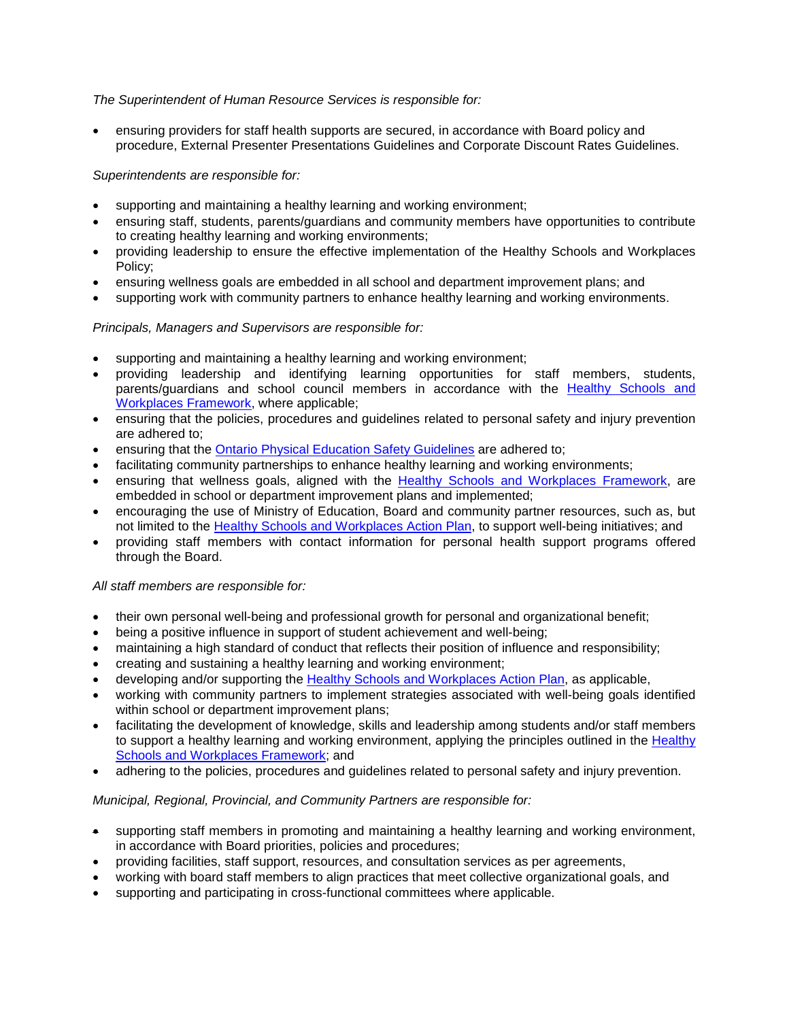## *The Superintendent of Human Resource Services is responsible for:*

• ensuring providers for staff health supports are secured, in accordance with Board policy and procedure, External Presenter Presentations Guidelines and Corporate Discount Rates Guidelines.

## *Superintendents are responsible for:*

- supporting and maintaining a healthy learning and working environment;
- ensuring staff, students, parents/guardians and community members have opportunities to contribute to creating healthy learning and working environments;
- providing leadership to ensure the effective implementation of the Healthy Schools and Workplaces Policy;
- ensuring wellness goals are embedded in all school and department improvement plans; and
- supporting work with community partners to enhance healthy learning and working environments.

## *Principals, Managers and Supervisors are responsible for:*

- supporting and maintaining a healthy learning and working environment;
- providing leadership and identifying learning opportunities for staff members, students, parents/guardians and school council members in accordance with the **[Healthy Schools](http://www.yrdsb.ca/Programs/Healthy/Documents/SD-healthyschoolsandworkplacesframework.pdf) and** [Workplaces](http://www.yrdsb.ca/Programs/Healthy/Documents/SD-healthyschoolsandworkplacesframework.pdf) Framework, where applicable;
- ensuring that the policies, procedures and guidelines related to personal safety and injury prevention are adhered to;
- ensuring that the [Ontario Physical Education Safety Guidelines](http://safety.ophea.net/) are adhered to;
- facilitating community partnerships to enhance healthy learning and working environments;
- ensuring that wellness goals, aligned with the [Healthy Schools and Workplaces Framework,](http://www.yrdsb.ca/Programs/Healthy/Documents/SD-healthyschoolsandworkplacesframework.pdf) are embedded in school or department improvement plans and implemented;
- encouraging the use of Ministry of Education, Board and community partner resources, such as, but not limited to the [Healthy Schools and Workplaces Action Plan,](https://bww.yrdsb.ca/boarddocs/Documents/FOR-heatlhyschoolsandworkplacesactionplantemplate.pdf) to support well-being initiatives; and
- providing staff members with contact information for personal health support programs offered through the Board.

## *All staff members are responsible for:*

- their own personal well-being and professional growth for personal and organizational benefit;
- being a positive influence in support of student achievement and well-being;
- maintaining a high standard of conduct that reflects their position of influence and responsibility;
- creating and sustaining a healthy learning and working environment;
- developing and/or supporting the [Healthy Schools and Workplaces Action Plan,](https://bww.yrdsb.ca/boarddocs/Documents/FOR-heatlhyschoolsandworkplacesactionplantemplate.pdf) as applicable,
- working with community partners to implement strategies associated with well-being goals identified within school or department improvement plans;
- facilitating the development of knowledge, skills and leadership among students and/or staff members to support a healthy learning and working environment, applying the principles outlined in the [Healthy](http://www.yrdsb.ca/Programs/Healthy/Documents/SD-healthyschoolsandworkplacesframework.pdf)  Schools [and Workplaces](http://www.yrdsb.ca/Programs/Healthy/Documents/SD-healthyschoolsandworkplacesframework.pdf) Framework; and
- adhering to the policies, procedures and guidelines related to personal safety and injury prevention.

## *Municipal, Regional, Provincial, and Community Partners are responsible for:*

- supporting staff members in promoting and maintaining a healthy learning and working environment, in accordance with Board priorities, policies and procedures;
- providing facilities, staff support, resources, and consultation services as per agreements,
- working with board staff members to align practices that meet collective organizational goals, and
- supporting and participating in cross-functional committees where applicable.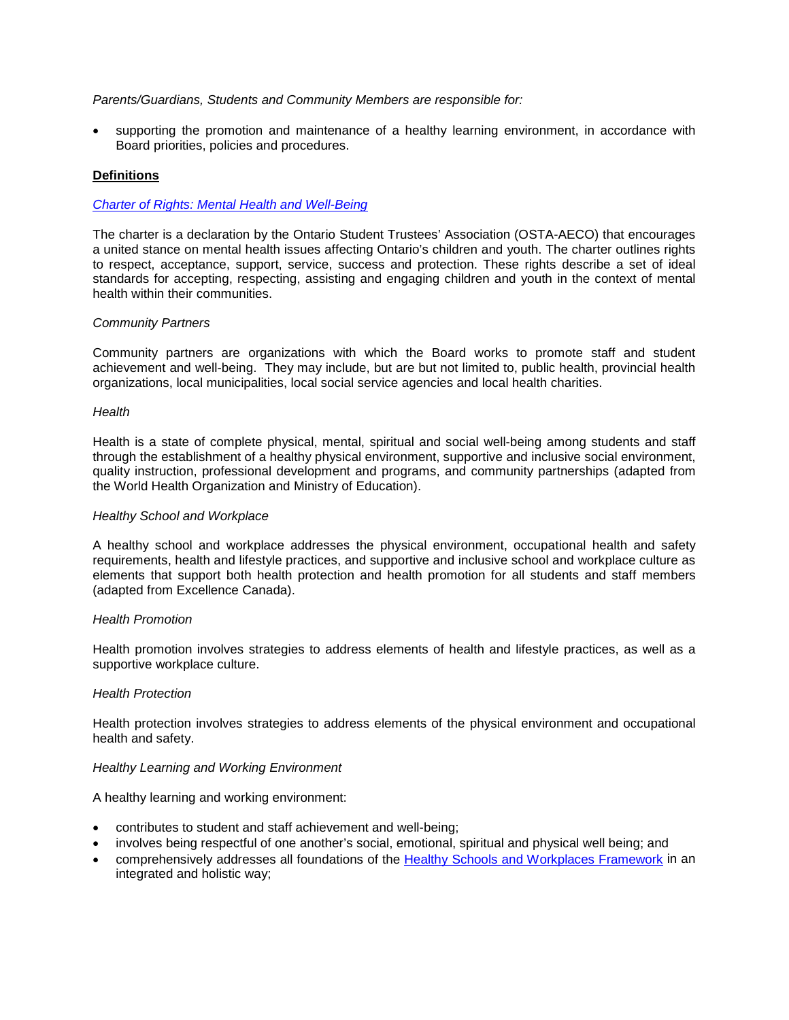## *Parents/Guardians, Students and Community Members are responsible for:*

• supporting the promotion and maintenance of a healthy learning environment, in accordance with Board priorities, policies and procedures.

## **Definitions**

## *[Charter of Rights: Mental Health and Well-Being](http://www.opsba.org/index.php?q=system/files/CC%26YMH_CharterOfRights_EN.pdf)*

The charter is a declaration by the Ontario Student Trustees' Association (OSTA-AECO) that encourages a united stance on mental health issues affecting Ontario's children and youth. The charter outlines rights to respect, acceptance, support, service, success and protection. These rights describe a set of ideal standards for accepting, respecting, assisting and engaging children and youth in the context of mental health within their communities.

## *Community Partners*

Community partners are organizations with which the Board works to promote staff and student achievement and well-being. They may include, but are but not limited to, public health, provincial health organizations, local municipalities, local social service agencies and local health charities.

#### *Health*

Health is a state of complete physical, mental, spiritual and social well-being among students and staff through the establishment of a healthy physical environment, supportive and inclusive social environment, quality instruction, professional development and programs, and community partnerships (adapted from the World Health Organization and Ministry of Education).

#### *Healthy School and Workplace*

A healthy school and workplace addresses the physical environment, occupational health and safety requirements, health and lifestyle practices, and supportive and inclusive school and workplace culture as elements that support both health protection and health promotion for all students and staff members (adapted from Excellence Canada).

## *Health Promotion*

Health promotion involves strategies to address elements of health and lifestyle practices, as well as a supportive workplace culture.

## *Health Protection*

Health protection involves strategies to address elements of the physical environment and occupational health and safety.

## *Healthy Learning and Working Environment*

A healthy learning and working environment:

- contributes to student and staff achievement and well-being;
- involves being respectful of one another's social, emotional, spiritual and physical well being; and
- comprehensively addresses all foundations of the [Healthy Schools and Workplaces Framework](http://www.yrdsb.ca/Programs/Healthy/Documents/SD-healthyschoolsandworkplacesframework.pdf) in an integrated and holistic way;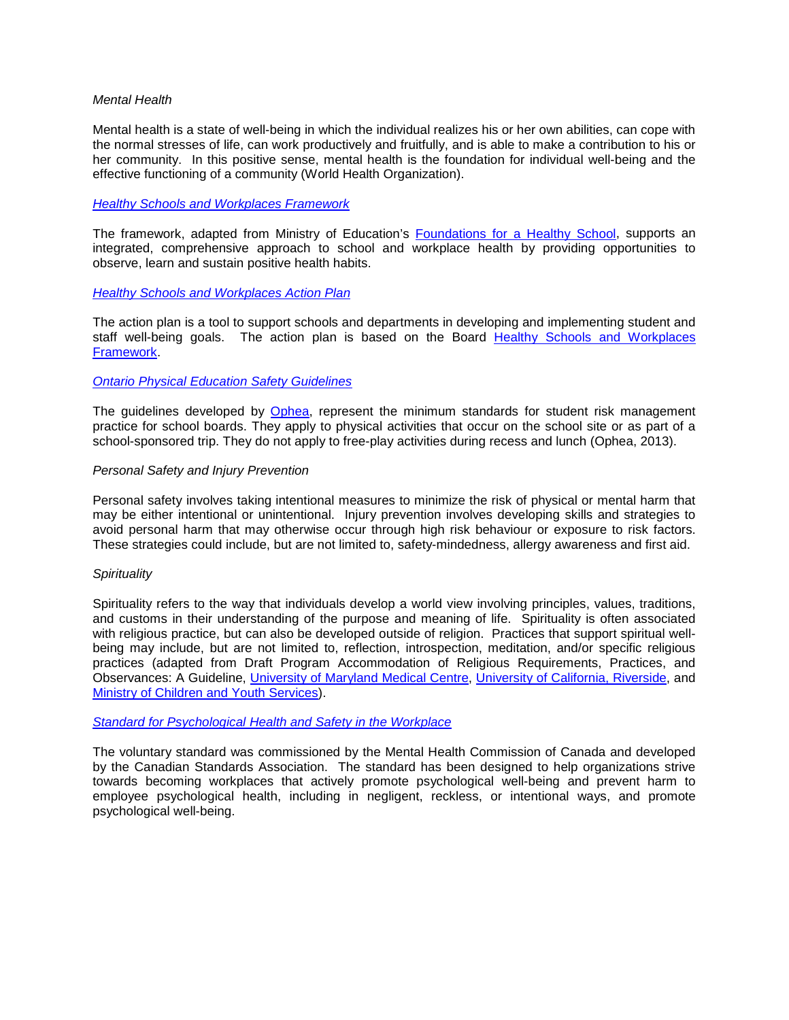#### *Mental Health*

Mental health is a state of well-being in which the individual realizes his or her own abilities, can cope with the normal stresses of life, can work productively and fruitfully, and is able to make a contribution to his or her community. In this positive sense, mental health is the foundation for individual well-being and the effective functioning of a community (World Health Organization).

#### *[Healthy Schools and Workplaces Framework](http://www.yrdsb.ca/Programs/Healthy/Documents/SD-healthyschoolsandworkplacesframework.pdf)*

The framework, adapted from Ministry of Education's [Foundations for a Healthy School,](http://www.edu.gov.on.ca/eng/healthyschools/foundations.pdf) supports an integrated, comprehensive approach to school and workplace health by providing opportunities to observe, learn and sustain positive health habits.

#### *Healthy Schools and [Workplaces Action Plan](https://bww.yrdsb.ca/boarddocs/Documents/FOR-heatlhyschoolsandworkplacesactionplantemplate.pdf)*

The action plan is a tool to support schools and departments in developing and implementing student and staff well-being goals. The action plan is based on the Board [Healthy Schools and Workplaces](http://www.yrdsb.ca/Programs/Healthy/Documents/SD-healthyschoolsandworkplacesframework.pdf)  [Framework.](http://www.yrdsb.ca/Programs/Healthy/Documents/SD-healthyschoolsandworkplacesframework.pdf)

## *[Ontario Physical Education Safety Guidelines](http://safety.ophea.net/)*

The guidelines developed by [Ophea,](http://www.ophea.net/) represent the minimum standards for student risk management practice for school boards. They apply to physical activities that occur on the school site or as part of a school-sponsored trip. They do not apply to free-play activities during recess and lunch (Ophea, 2013).

#### *Personal Safety and Injury Prevention*

Personal safety involves taking intentional measures to minimize the risk of physical or mental harm that may be either intentional or unintentional. Injury prevention involves developing skills and strategies to avoid personal harm that may otherwise occur through high risk behaviour or exposure to risk factors. These strategies could include, but are not limited to, safety-mindedness, allergy awareness and first aid.

#### *Spirituality*

Spirituality refers to the way that individuals develop a world view involving principles, values, traditions, and customs in their understanding of the purpose and meaning of life. Spirituality is often associated with religious practice, but can also be developed outside of religion. Practices that support spiritual wellbeing may include, but are not limited to, reflection, introspection, meditation, and/or specific religious practices (adapted from Draft Program Accommodation of Religious Requirements, Practices, and Observances: A Guideline, [University of Maryland Medical Centre,](http://umm.edu/health/medical/altmed/treatment/spirituality) [University of California, Riverside,](http://wellness.ucr.edu/spiritual_wellness.html) and [Ministry of Children and Youth Services\)](http://www.children.gov.on.ca/htdocs/English/topics/youthopportunities/steppingstones/youth_policy_development.aspx).

## *[Standard for Psychological Health and Safety in the Workplace](http://shop.csa.ca/en/canada/occupational-health-and-safety-management/cancsa-z1003-13bnq-9700-8032013/invt/z10032013/?utm_source=redirect&utm_medium=vanity&utm_content=folder&utm_campaign=z1003)*

The voluntary standard was commissioned by the Mental Health Commission of Canada and developed by the Canadian Standards Association. The standard has been designed to help organizations strive towards becoming workplaces that actively promote psychological well-being and prevent harm to employee psychological health, including in negligent, reckless, or intentional ways, and promote psychological well-being.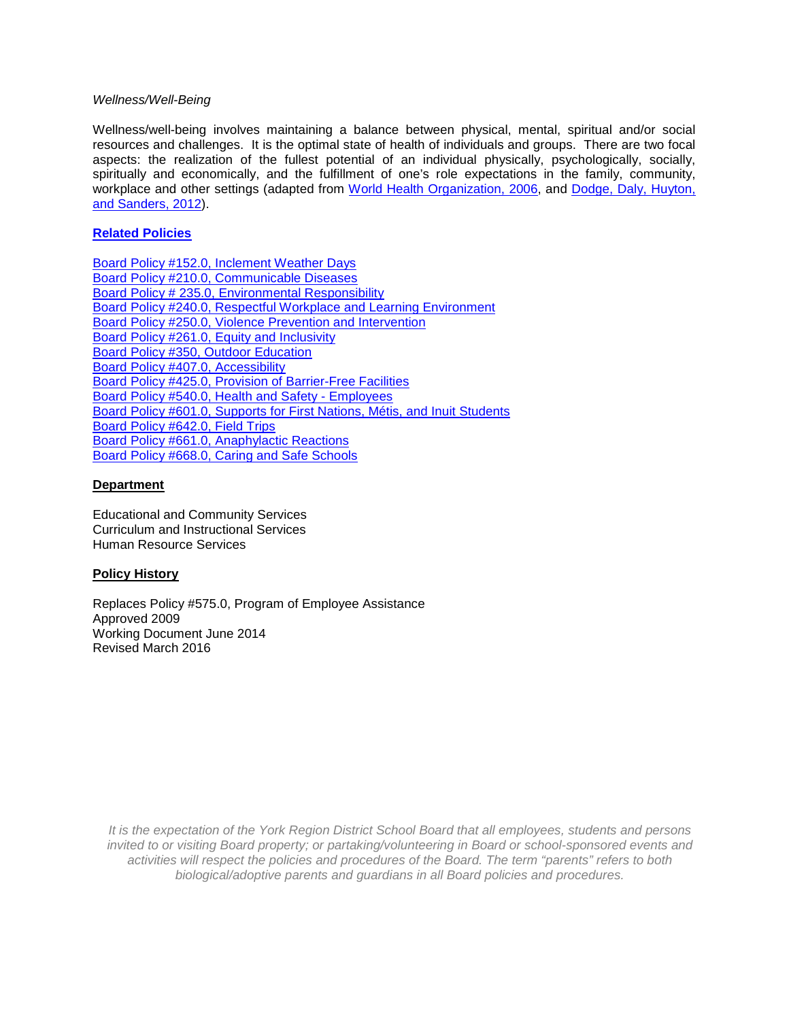## *Wellness/Well-Being*

Wellness/well-being involves maintaining a balance between physical, mental, spiritual and/or social resources and challenges. It is the optimal state of health of individuals and groups. There are two focal aspects: the realization of the fullest potential of an individual physically, psychologically, socially, spiritually and economically, and the fulfillment of one's role expectations in the family, community, workplace and other settings (adapted from [World Health Organization, 2006,](http://www.who.int/healthpromotion/about/HPR%20Glossary_New%20Terms.pdf) and [Dodge, Daly, Huyton,](http://www.internationaljournalofwellbeing.org/index.php/ijow/article/viewFile/89/238)  [and Sanders, 2012\)](http://www.internationaljournalofwellbeing.org/index.php/ijow/article/viewFile/89/238).

## **[Related Policies](http://www.yrdsb.ca/AboutUs/Policy/Pages/default.aspx)**

[Board Policy #152.0, Inclement Weather](http://www.yrdsb.ca/boarddocs/Documents/PP-inclementweatherandemergencyconditionsdays-152.0.pdf) Days [Board Policy #210.0, Communicable Diseases](http://www.yrdsb.ca/boarddocs/Documents/POL-communicabledisease-210.pdf) [Board Policy # 235.0, Environmental Responsibility](http://www.yrdsb.ca/boarddocs/Documents/POL-environment-235.pdf) [Board Policy #240.0, Respectful Workplace and Learning Environment](http://www.yrdsb.ca/boarddocs/Documents/PP-respectfulworkplaceandlearningenvironment-240.pdf) [Board Policy #250.0, Violence Prevention and Intervention](http://www.yrdsb.ca/boarddocs/Documents/PP-ViolencePrevention-250.pdf) Board Policy #261.0, [Equity and Inclusivity](http://www.yrdsb.ca/boarddocs/Documents/POL-equityandinclusiveeducation-261.pdf) [Board Policy #350, Outdoor Education](http://www.yrdsb.ca/boarddocs/Documents/PP-outdoored-350.pdf) [Board Policy #407.0, Accessibility](http://www.yrdsb.ca/boarddocs/Documents/PP-accessibilitystandardsforcustomerservice-407.pdf) [Board Policy #425.0, Provision of Barrier-Free Facilities](http://www.yrdsb.ca/boarddocs/Documents/POL-barrierfree-425.pdf) [Board Policy #540.0, Health and Safety -](http://www.yrdsb.ca/boarddocs/Documents/PP-healthandsafety-540.pdf) Employees [Board Policy #601.0, Supports for First Nations, Métis, and Inuit Students](http://www.yrdsb.ca/boarddocs/Documents/PP-supportsforaboriginalstudents-601.pdf) [Board Policy #642.0, Field Trips](http://www.yrdsb.ca/boarddocs/Documents/PP-fieldtrips-642.pdf) [Board Policy #661.0, Anaphylactic Reactions](http://www.yrdsb.ca/boarddocs/Documents/PP-anaphylacticreactions-661.pdf) [Board Policy #668.0, Caring and Safe Schools](http://www.yrdsb.ca/boarddocs/Documents/PP-review-safecaringandsupportiveschools-668.pdf)

## **Department**

Educational and Community Services Curriculum and Instructional Services Human Resource Services

## **Policy History**

Replaces Policy #575.0, Program of Employee Assistance Approved 2009 Working Document June 2014 Revised March 2016

*It is the expectation of the York Region District School Board that all employees, students and persons invited to or visiting Board property; or partaking/volunteering in Board or school-sponsored events and activities will respect the policies and procedures of the Board. The term "parents" refers to both biological/adoptive parents and guardians in all Board policies and procedures.*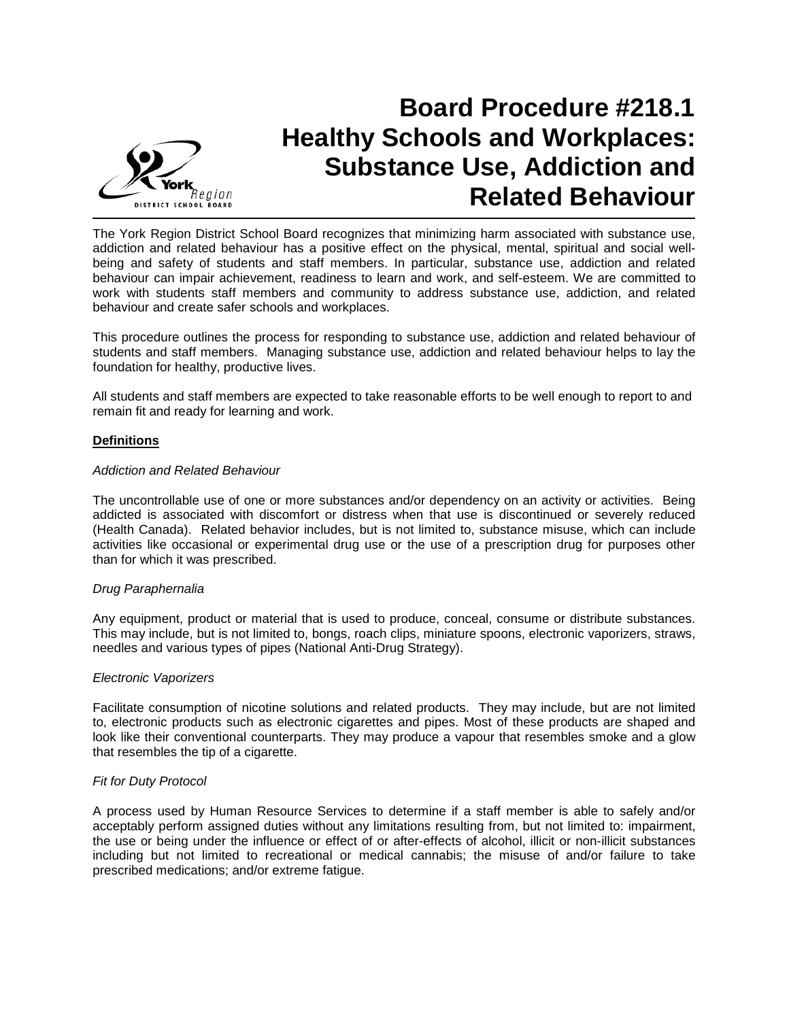

## **Board Procedure #218.1 Healthy Schools and Workplaces: Substance Use, Addiction and Related Behaviour**

The York Region District School Board recognizes that minimizing harm associated with substance use, addiction and related behaviour has a positive effect on the physical, mental, spiritual and social wellbeing and safety of students and staff members. In particular, substance use, addiction and related behaviour can impair achievement, readiness to learn and work, and self-esteem. We are committed to work with students staff members and community to address substance use, addiction, and related behaviour and create safer schools and workplaces.

This procedure outlines the process for responding to substance use, addiction and related behaviour of students and staff members. Managing substance use, addiction and related behaviour helps to lay the foundation for healthy, productive lives.

All students and staff members are expected to take reasonable efforts to be well enough to report to and remain fit and ready for learning and work.

## **Definitions**

#### *Addiction and Related Behaviour*

The uncontrollable use of one or more substances and/or dependency on an activity or activities. Being addicted is associated with discomfort or distress when that use is discontinued or severely reduced (Health Canada). Related behavior includes, but is not limited to, substance misuse, which can include activities like occasional or experimental drug use or the use of a prescription drug for purposes other than for which it was prescribed.

## *Drug Paraphernalia*

Any equipment, product or material that is used to produce, conceal, consume or distribute substances. This may include, but is not limited to, bongs, roach clips, miniature spoons, electronic vaporizers, straws, needles and various types of pipes (National Anti-Drug Strategy).

#### *Electronic Vaporizers*

Facilitate consumption of nicotine solutions and related products. They may include, but are not limited to, electronic products such as electronic cigarettes and pipes. Most of these products are shaped and look like their conventional counterparts. They may produce a vapour that resembles smoke and a glow that resembles the tip of a cigarette.

#### *Fit for Duty Protocol*

A process used by Human Resource Services to determine if a staff member is able to safely and/or acceptably perform assigned duties without any limitations resulting from, but not limited to: impairment, the use or being under the influence or effect of or after-effects of alcohol, illicit or non-illicit substances including but not limited to recreational or medical cannabis; the misuse of and/or failure to take prescribed medications; and/or extreme fatigue.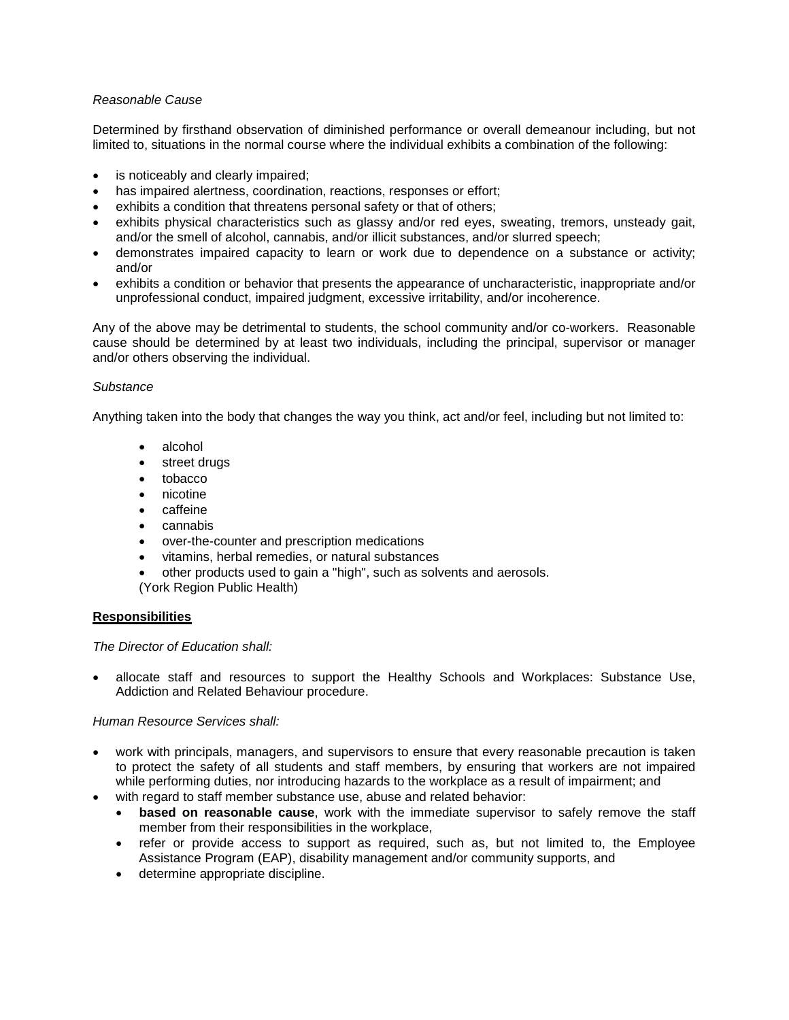## *Reasonable Cause*

Determined by firsthand observation of diminished performance or overall demeanour including, but not limited to, situations in the normal course where the individual exhibits a combination of the following:

- is noticeably and clearly impaired;
- has impaired alertness, coordination, reactions, responses or effort;
- exhibits a condition that threatens personal safety or that of others;
- exhibits physical characteristics such as glassy and/or red eyes, sweating, tremors, unsteady gait, and/or the smell of alcohol, cannabis, and/or illicit substances, and/or slurred speech;
- demonstrates impaired capacity to learn or work due to dependence on a substance or activity; and/or
- exhibits a condition or behavior that presents the appearance of uncharacteristic, inappropriate and/or unprofessional conduct, impaired judgment, excessive irritability, and/or incoherence.

Any of the above may be detrimental to students, the school community and/or co-workers. Reasonable cause should be determined by at least two individuals, including the principal, supervisor or manager and/or others observing the individual.

## *Substance*

Anything taken into the body that changes the way you think, act and/or feel, including but not limited to:

- alcohol
- street drugs
- tobacco
- nicotine
- caffeine
- cannabis
- over-the-counter and prescription medications
- vitamins, herbal remedies, or natural substances
- other products used to gain a "high", such as solvents and aerosols.
- (York Region Public Health)

## **Responsibilities**

*The Director of Education shall:*

• allocate staff and resources to support the Healthy Schools and Workplaces: Substance Use, Addiction and Related Behaviour procedure.

*Human Resource Services shall:*

- work with principals, managers, and supervisors to ensure that every reasonable precaution is taken to protect the safety of all students and staff members, by ensuring that workers are not impaired while performing duties, nor introducing hazards to the workplace as a result of impairment; and
- with regard to staff member substance use, abuse and related behavior:
	- **based on reasonable cause**, work with the immediate supervisor to safely remove the staff member from their responsibilities in the workplace,
	- refer or provide access to support as required, such as, but not limited to, the Employee Assistance Program (EAP), disability management and/or community supports, and
	- determine appropriate discipline.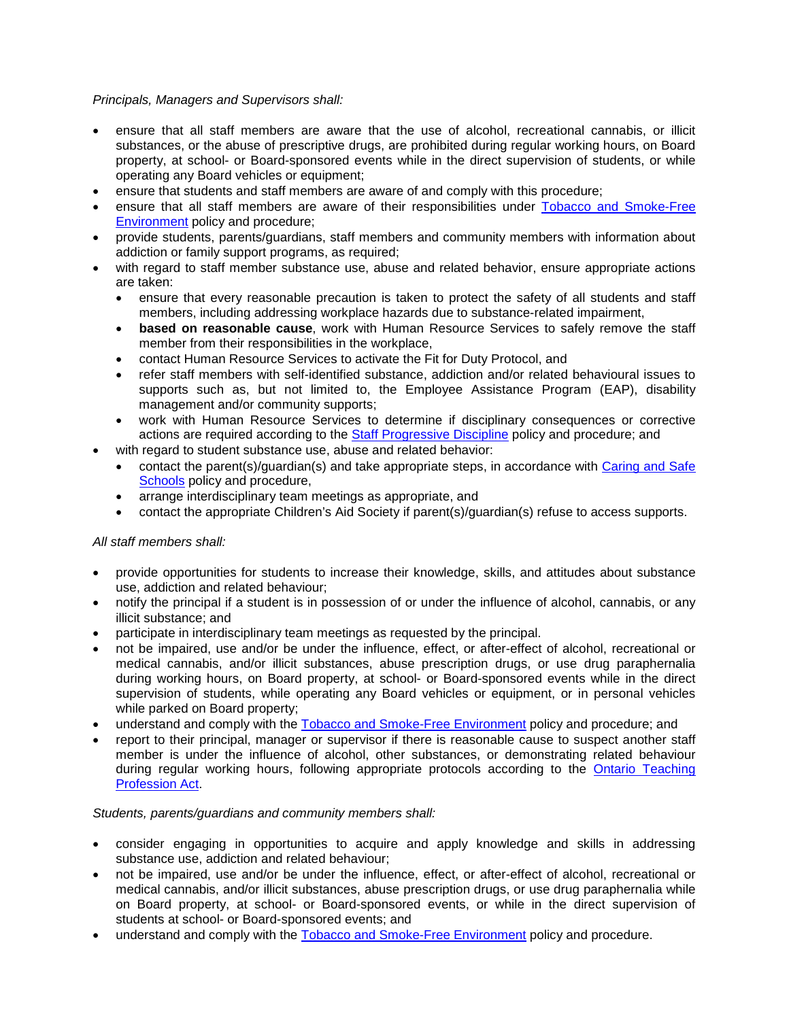*Principals, Managers and Supervisors shall:*

- ensure that all staff members are aware that the use of alcohol, recreational cannabis, or illicit substances, or the abuse of prescriptive drugs, are prohibited during regular working hours, on Board property, at school- or Board-sponsored events while in the direct supervision of students, or while operating any Board vehicles or equipment;
- ensure that students and staff members are aware of and comply with this procedure;
- ensure that all staff members are aware of their responsibilities under Tobacco [and Smoke-Free](http://www.yrdsb.ca/boarddocs/Documents/PP-smokefreeenvironment-461.0.pdf)  [Environment](http://www.yrdsb.ca/boarddocs/Documents/PP-smokefreeenvironment-461.0.pdf) policy and procedure;
- provide students, parents/guardians, staff members and community members with information about addiction or family support programs, as required;
- with regard to staff member substance use, abuse and related behavior, ensure appropriate actions are taken:
	- ensure that every reasonable precaution is taken to protect the safety of all students and staff members, including addressing workplace hazards due to substance-related impairment,
	- **based on reasonable cause**, work with Human Resource Services to safely remove the staff member from their responsibilities in the workplace,
	- contact Human Resource Services to activate the Fit for Duty Protocol, and
	- refer staff members with self-identified substance, addiction and/or related behavioural issues to supports such as, but not limited to, the Employee Assistance Program (EAP), disability management and/or community supports;
	- work with Human Resource Services to determine if disciplinary consequences or corrective actions are required according to the [Staff Progressive Discipline](http://www.yrdsb.ca/boarddocs/Documents/PP-progressivediscipline-577.pdf) policy and procedure; and
- with regard to student substance use, abuse and related behavior:
	- contact the parent(s)/guardian(s) and take appropriate steps, in accordance with Caring and Safe [Schools](http://www.yrdsb.ca/AboutUs/Policy/Documents/668.pdf) policy and procedure,
	- arrange interdisciplinary team meetings as appropriate, and
	- contact the appropriate Children's Aid Society if parent(s)/guardian(s) refuse to access supports.

## *All staff members shall:*

- provide opportunities for students to increase their knowledge, skills, and attitudes about substance use, addiction and related behaviour;
- notify the principal if a student is in possession of or under the influence of alcohol, cannabis, or any illicit substance; and
- participate in interdisciplinary team meetings as requested by the principal.
- not be impaired, use and/or be under the influence, effect, or after-effect of alcohol, recreational or medical cannabis, and/or illicit substances, abuse prescription drugs, or use drug paraphernalia during working hours, on Board property, at school- or Board-sponsored events while in the direct supervision of students, while operating any Board vehicles or equipment, or in personal vehicles while parked on Board property;
- understand and comply with the Tobacco [and Smoke-Free Environment](http://www.yrdsb.ca/boarddocs/Documents/PP-smokefreeenvironment-461.0.pdf) policy and procedure; and
- report to their principal, manager or supervisor if there is reasonable cause to suspect another staff member is under the influence of alcohol, other substances, or demonstrating related behaviour during regular working hours, following appropriate protocols according to the [Ontario Teaching](http://www.otffeo.on.ca/en/wp-content/uploads/sites/2/2013/09/WTT_TPA_policiesbylawsetc.pdf)  [Profession Act.](http://www.otffeo.on.ca/en/wp-content/uploads/sites/2/2013/09/WTT_TPA_policiesbylawsetc.pdf)

## *Students, parents/guardians and community members shall:*

- consider engaging in opportunities to acquire and apply knowledge and skills in addressing substance use, addiction and related behaviour;
- not be impaired, use and/or be under the influence, effect, or after-effect of alcohol, recreational or medical cannabis, and/or illicit substances, abuse prescription drugs, or use drug paraphernalia while on Board property, at school- or Board-sponsored events, or while in the direct supervision of students at school- or Board-sponsored events; and
- understand and comply with the Tobacco [and Smoke-Free Environment](http://www.yrdsb.ca/boarddocs/Documents/PP-smokefreeenvironment-461.0.pdf) policy and procedure.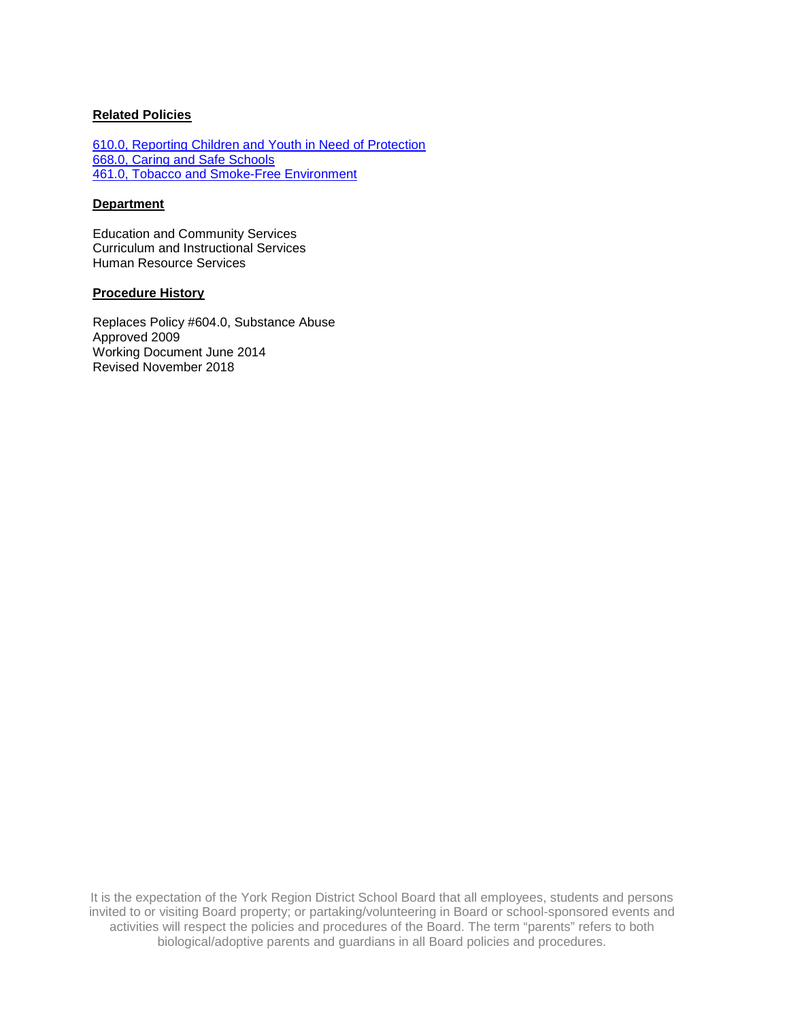## **Related Policies**

[610.0, Reporting Children and Youth in Need of Protection](http://www.yrdsb.ca/boarddocs/Documents/PP-reportingchildrenprotection-610.pdf) [668.0, Caring and Safe Schools](http://www.yrdsb.ca/boarddocs/Documents/PP-review-safecaringandsupportiveschools-668.pdf) 461.0, Tobacco [and Smoke-Free Environment](http://www.yrdsb.ca/boarddocs/Documents/PP-smokefreeenvironment-461.0.pdf)

## **Department**

Education and Community Services Curriculum and Instructional Services Human Resource Services

## **Procedure History**

Replaces Policy #604.0, Substance Abuse Approved 2009 Working Document June 2014 Revised November 2018

It is the expectation of the York Region District School Board that all employees, students and persons invited to or visiting Board property; or partaking/volunteering in Board or school-sponsored events and activities will respect the policies and procedures of the Board. The term "parents" refers to both biological/adoptive parents and guardians in all Board policies and procedures.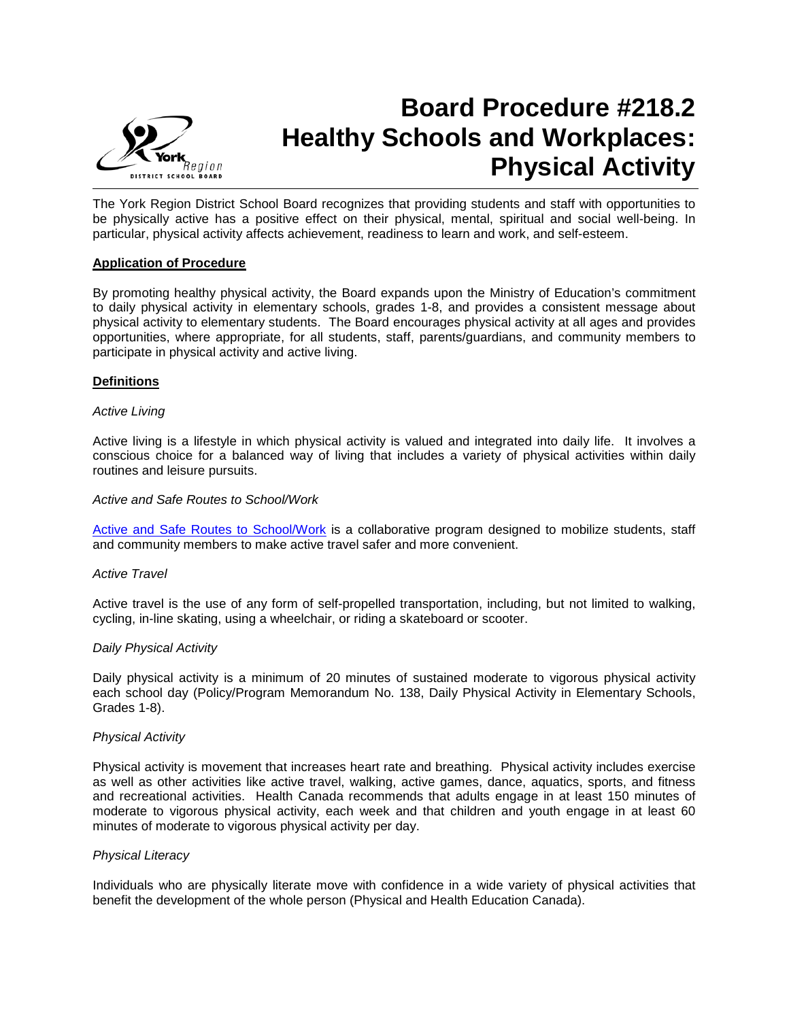

# **Board Procedure #218.2 Healthy Schools and Workplaces: Physical Activity**

The York Region District School Board recognizes that providing students and staff with opportunities to be physically active has a positive effect on their physical, mental, spiritual and social well-being. In particular, physical activity affects achievement, readiness to learn and work, and self-esteem.

## **Application of Procedure**

By promoting healthy physical activity, the Board expands upon the Ministry of Education's commitment to daily physical activity in elementary schools, grades 1-8, and provides a consistent message about physical activity to elementary students. The Board encourages physical activity at all ages and provides opportunities, where appropriate, for all students, staff, parents/guardians, and community members to participate in physical activity and active living.

## **Definitions**

## *Active Living*

Active living is a lifestyle in which physical activity is valued and integrated into daily life. It involves a conscious choice for a balanced way of living that includes a variety of physical activities within daily routines and leisure pursuits.

## *Active and Safe Routes to School/Work*

[Active and Safe Routes to School/Work](http://www.saferoutestoschool.ca/) is a collaborative program designed to mobilize students, staff and community members to make active travel safer and more convenient.

## *Active Travel*

Active travel is the use of any form of self-propelled transportation, including, but not limited to walking, cycling, in-line skating, using a wheelchair, or riding a skateboard or scooter.

## *Daily Physical Activity*

Daily physical activity is a minimum of 20 minutes of sustained moderate to vigorous physical activity each school day (Policy/Program Memorandum No. 138, Daily Physical Activity in Elementary Schools, Grades 1-8).

## *Physical Activity*

Physical activity is movement that increases heart rate and breathing. Physical activity includes exercise as well as other activities like active travel, walking, active games, dance, aquatics, sports, and fitness and recreational activities. Health Canada recommends that adults engage in at least 150 minutes of moderate to vigorous physical activity, each week and that children and youth engage in at least 60 minutes of moderate to vigorous physical activity per day.

## *Physical Literacy*

Individuals who are physically literate move with confidence in a wide variety of physical activities that benefit the development of the whole person (Physical and Health Education Canada).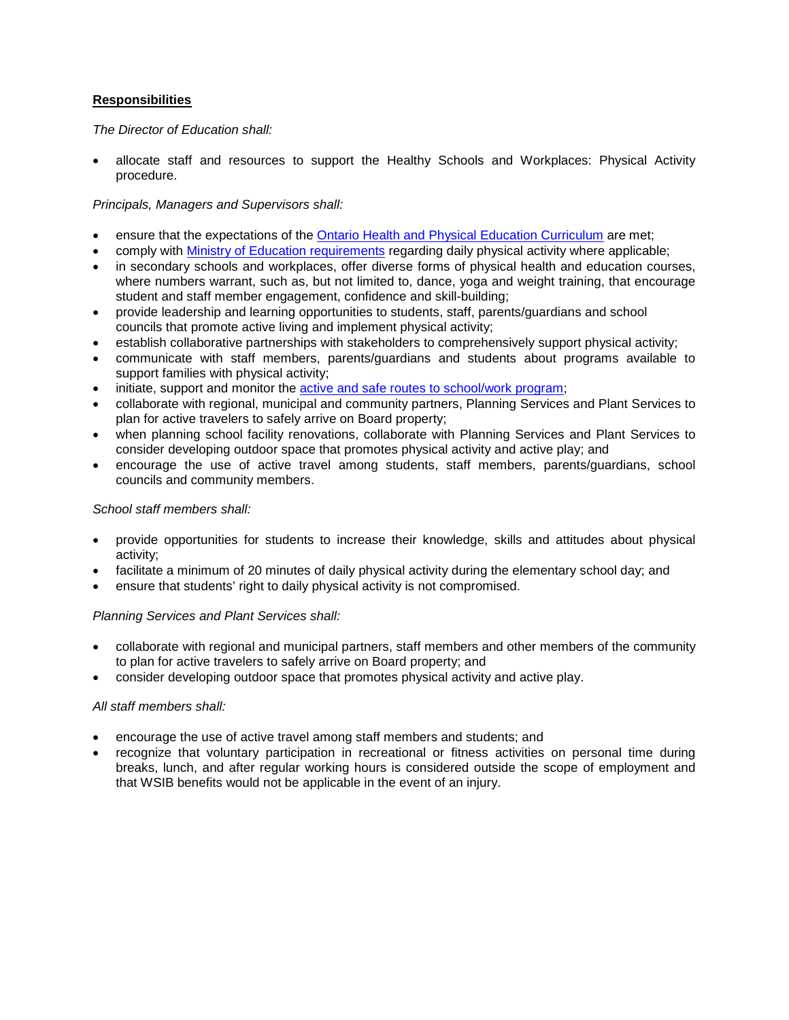## **Responsibilities**

*The Director of Education shall:*

• allocate staff and resources to support the Healthy Schools and Workplaces: Physical Activity procedure.

## *Principals, Managers and Supervisors shall:*

- ensure that the expectations of the [Ontario Health and Physical Education Curriculum](http://www.edu.gov.on.ca/eng/curriculum/) are met;
- comply with [Ministry of Education requirements](http://www.edu.gov.on.ca/extra/eng/ppm/138.html) regarding daily physical activity where applicable;
- in secondary schools and workplaces, offer diverse forms of physical health and education courses, where numbers warrant, such as, but not limited to, dance, yoga and weight training, that encourage student and staff member engagement, confidence and skill-building;
- provide leadership and learning opportunities to students, staff, parents/guardians and school councils that promote active living and implement physical activity;
- establish collaborative partnerships with stakeholders to comprehensively support physical activity;
- communicate with staff members, parents/guardians and students about programs available to support families with physical activity;
- initiate, support and monitor the **active and safe routes to school/work program**;
- collaborate with regional, municipal and community partners, Planning Services and Plant Services to plan for active travelers to safely arrive on Board property;
- when planning school facility renovations, collaborate with Planning Services and Plant Services to consider developing outdoor space that promotes physical activity and active play; and
- encourage the use of active travel among students, staff members, parents/guardians, school councils and community members.

## *School staff members shall:*

- provide opportunities for students to increase their knowledge, skills and attitudes about physical activity;
- facilitate a minimum of 20 minutes of daily physical activity during the elementary school day; and
- ensure that students' right to daily physical activity is not compromised.

## *Planning Services and Plant Services shall:*

- collaborate with regional and municipal partners, staff members and other members of the community to plan for active travelers to safely arrive on Board property; and
- consider developing outdoor space that promotes physical activity and active play.

## *All staff members shall:*

- encourage the use of active travel among staff members and students; and
- recognize that voluntary participation in recreational or fitness activities on personal time during breaks, lunch, and after regular working hours is considered outside the scope of employment and that WSIB benefits would not be applicable in the event of an injury.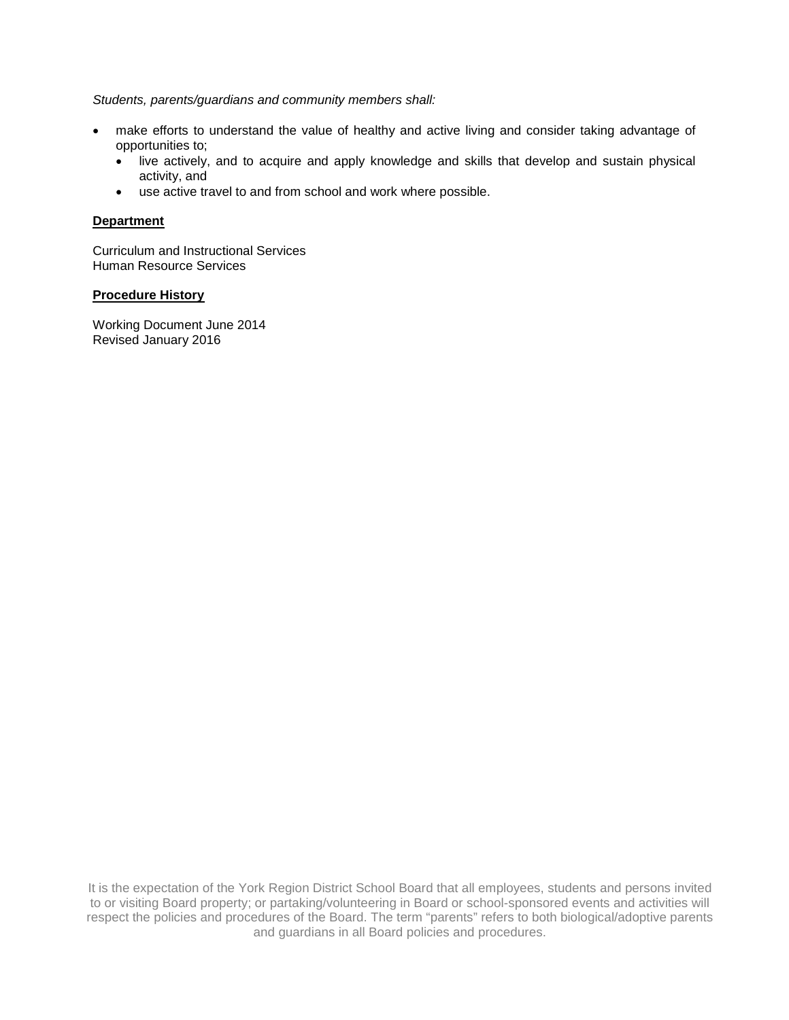## *Students, parents/guardians and community members shall:*

- make efforts to understand the value of healthy and active living and consider taking advantage of opportunities to;
	- live actively, and to acquire and apply knowledge and skills that develop and sustain physical activity, and
	- use active travel to and from school and work where possible.

## **Department**

Curriculum and Instructional Services Human Resource Services

## **Procedure History**

Working Document June 2014 Revised January 2016

It is the expectation of the York Region District School Board that all employees, students and persons invited to or visiting Board property; or partaking/volunteering in Board or school-sponsored events and activities will respect the policies and procedures of the Board. The term "parents" refers to both biological/adoptive parents and guardians in all Board policies and procedures.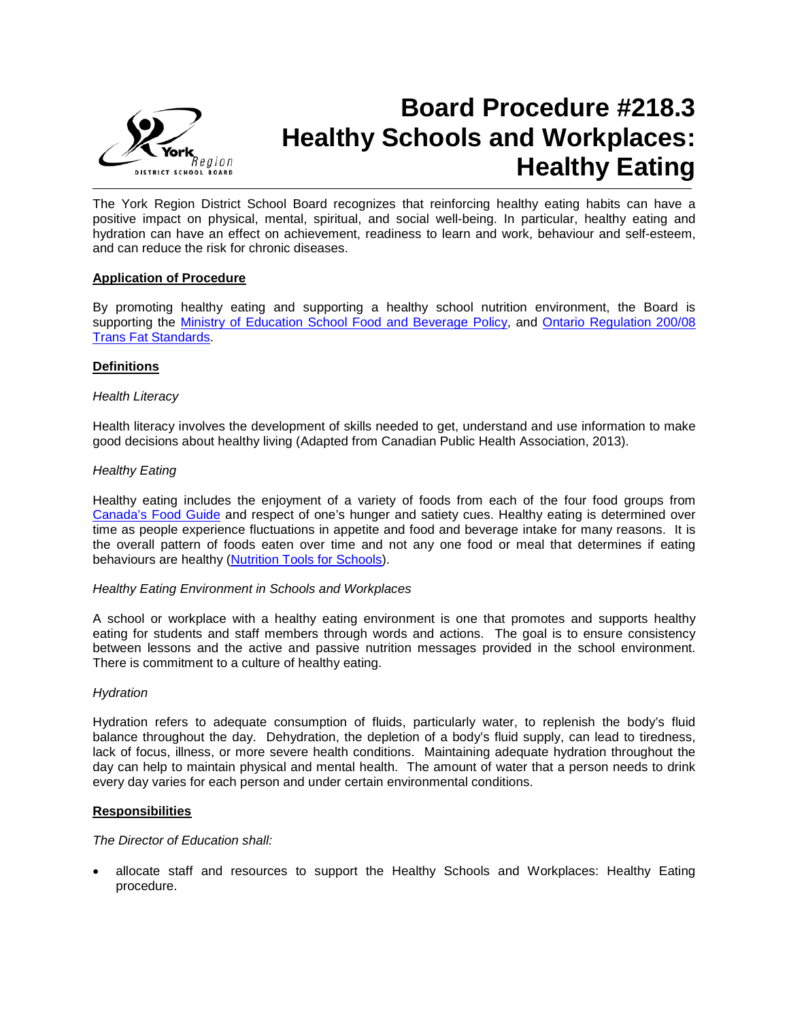

# **Board Procedure #218.3 Healthy Schools and Workplaces: Healthy Eating**

The York Region District School Board recognizes that reinforcing healthy eating habits can have a positive impact on physical, mental, spiritual, and social well-being. In particular, healthy eating and hydration can have an effect on achievement, readiness to learn and work, behaviour and self-esteem, and can reduce the risk for chronic diseases.

## **Application of Procedure**

By promoting healthy eating and supporting a healthy school nutrition environment, the Board is supporting the [Ministry of Education School Food and Beverage Policy,](http://www.edu.gov.on.ca/eng/healthyschools/policy.html) and [Ontario Regulation 200/08](http://www.e-laws.gov.on.ca/html/regs/english/elaws_regs_080200_e.htm)  [Trans Fat Standards.](http://www.e-laws.gov.on.ca/html/regs/english/elaws_regs_080200_e.htm)

## **Definitions**

## *Health Literacy*

Health literacy involves the development of skills needed to get, understand and use information to make good decisions about healthy living (Adapted from Canadian Public Health Association, 2013).

## *Healthy Eating*

Healthy eating includes the enjoyment of a variety of foods from each of the four food groups from [Canada's Food Guide](http://www.hc-sc.gc.ca/fn-an/food-guide-aliment/index-eng.php) and respect of one's hunger and satiety cues. Healthy eating is determined over time as people experience fluctuations in appetite and food and beverage intake for many reasons. It is the overall pattern of foods eaten over time and not any one food or meal that determines if eating behaviours are healthy [\(Nutrition Tools for Schools\)](http://www.nutritiontoolsforschools.ca/).

## *Healthy Eating Environment in Schools and Workplaces*

A school or workplace with a healthy eating environment is one that promotes and supports healthy eating for students and staff members through words and actions. The goal is to ensure consistency between lessons and the active and passive nutrition messages provided in the school environment. There is commitment to a culture of healthy eating.

## *Hydration*

Hydration refers to adequate consumption of fluids, particularly water, to replenish the body's fluid balance throughout the day. Dehydration, the depletion of a body's fluid supply, can lead to tiredness, lack of focus, illness, or more severe health conditions. Maintaining adequate hydration throughout the day can help to maintain physical and mental health. The amount of water that a person needs to drink every day varies for each person and under certain environmental conditions.

## **Responsibilities**

## *The Director of Education shall:*

• allocate staff and resources to support the Healthy Schools and Workplaces: Healthy Eating procedure.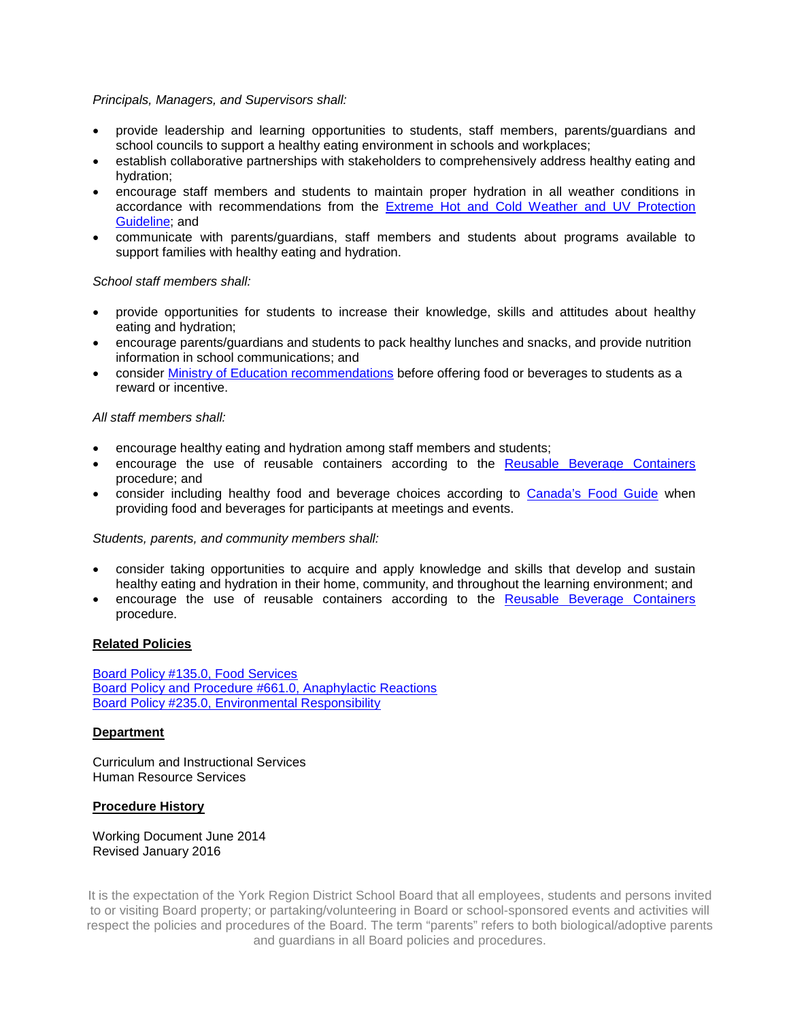## *Principals, Managers, and Supervisors shall:*

- provide leadership and learning opportunities to students, staff members, parents/guardians and school councils to support a healthy eating environment in schools and workplaces;
- establish collaborative partnerships with stakeholders to comprehensively address healthy eating and hydration;
- encourage staff members and students to maintain proper hydration in all weather conditions in accordance with recommendations from the [Extreme Hot and Cold Weather and UV Protection](http://www.yrdsb.ca/Programs/Healthy/Documents/GL-extremeweather-152.pdf)  [Guideline;](http://www.yrdsb.ca/Programs/Healthy/Documents/GL-extremeweather-152.pdf) and
- communicate with parents/guardians, staff members and students about programs available to support families with healthy eating and hydration.

## *School staff members shall:*

- provide opportunities for students to increase their knowledge, skills and attitudes about healthy eating and hydration;
- encourage parents/guardians and students to pack healthy lunches and snacks, and provide nutrition information in school communications; and
- consider [Ministry of Education recommendations](http://www.edu.gov.on.ca/extra/eng/ppm/150.html) before offering food or beverages to students as a reward or incentive.

## *All staff members shall:*

- encourage healthy eating and hydration among staff members and students;
- encourage the use of reusable containers according to the [Reusable Beverage Containers](http://www.yrdsb.ca/boarddocs/Documents/POL-environment-235.pdf) procedure; and
- consider including healthy food and beverage choices according to [Canada's Food Guide](http://www.hc-sc.gc.ca/fn-an/food-guide-aliment/index-eng.php) when providing food and beverages for participants at meetings and events.

## *Students, parents, and community members shall:*

- consider taking opportunities to acquire and apply knowledge and skills that develop and sustain healthy eating and hydration in their home, community, and throughout the learning environment; and
- encourage the use of reusable containers according to the [Reusable Beverage Containers](http://www.yrdsb.ca/boarddocs/Documents/POL-environment-235.pdf) procedure.

## **Related Policies**

[Board Policy #135.0, Food Services](http://www.yrdsb.ca/boarddocs/Documents/POL-foodservices-135.pdf) [Board Policy and Procedure #661.0, Anaphylactic Reactions](http://www.yrdsb.ca/boarddocs/Documents/PP-anaphylacticreactions-661.pdf) Board [Policy #235.0, Environmental Responsibility](http://www.yrdsb.ca/boarddocs/Documents/POL-environment-235.pdf)

## **Department**

Curriculum and Instructional Services Human Resource Services

## **Procedure History**

Working Document June 2014 Revised January 2016

It is the expectation of the York Region District School Board that all employees, students and persons invited to or visiting Board property; or partaking/volunteering in Board or school-sponsored events and activities will respect the policies and procedures of the Board. The term "parents" refers to both biological/adoptive parents and guardians in all Board policies and procedures.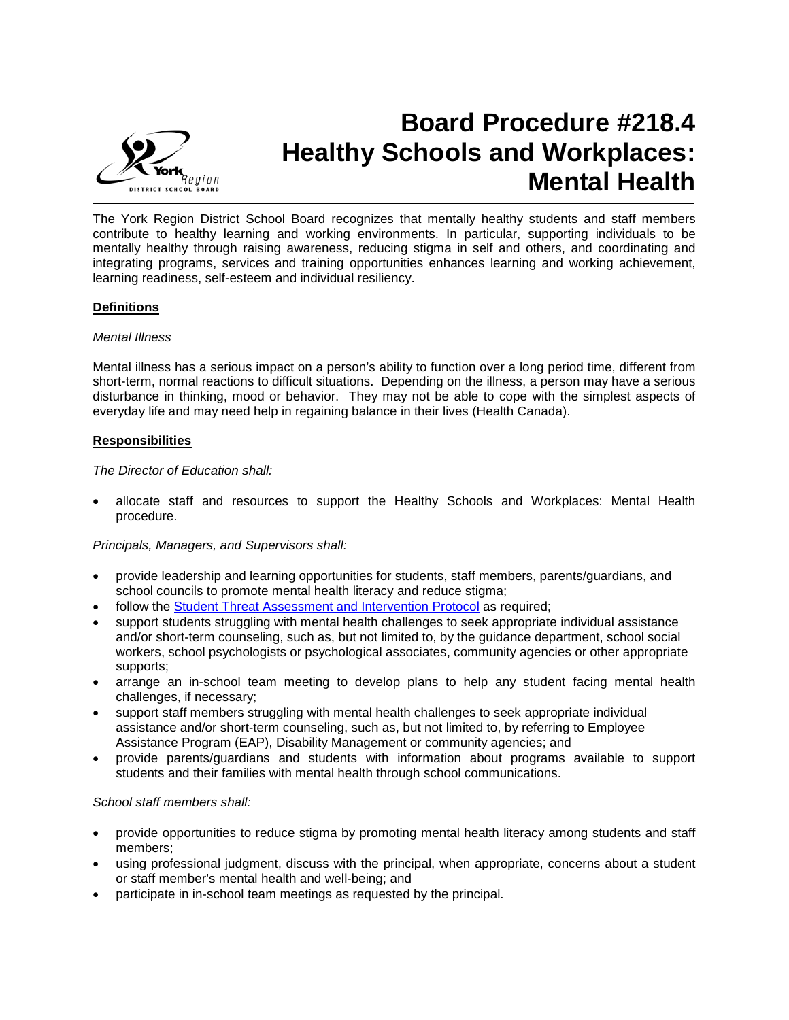

# **Board Procedure #218.4 Healthy Schools and Workplaces: Mental Health**

The York Region District School Board recognizes that mentally healthy students and staff members contribute to healthy learning and working environments. In particular, supporting individuals to be mentally healthy through raising awareness, reducing stigma in self and others, and coordinating and integrating programs, services and training opportunities enhances learning and working achievement, learning readiness, self-esteem and individual resiliency.

## **Definitions**

## *Mental Illness*

Mental illness has a serious impact on a person's ability to function over a long period time, different from short-term, normal reactions to difficult situations. Depending on the illness, a person may have a serious disturbance in thinking, mood or behavior. They may not be able to cope with the simplest aspects of everyday life and may need help in regaining balance in their lives (Health Canada).

## **Responsibilities**

*The Director of Education shall:*

• allocate staff and resources to support the Healthy Schools and Workplaces: Mental Health procedure.

## *Principals, Managers, and Supervisors shall:*

- provide leadership and learning opportunities for students, staff members, parents/guardians, and school councils to promote mental health literacy and reduce stigma;
- follow the [Student Threat Assessment and Intervention Protocol](http://www.yrdsb.ca/programs/safeschools/documents/threatassessmentprotocol.pdf) as required;
- support students struggling with mental health challenges to seek appropriate individual assistance and/or short-term counseling, such as, but not limited to, by the guidance department, school social workers, school psychologists or psychological associates, community agencies or other appropriate supports;
- arrange an in-school team meeting to develop plans to help any student facing mental health challenges, if necessary;
- support staff members struggling with mental health challenges to seek appropriate individual assistance and/or short-term counseling, such as, but not limited to, by referring to Employee Assistance Program (EAP), Disability Management or community agencies; and
- provide parents/guardians and students with information about programs available to support students and their families with mental health through school communications.

## *School staff members shall:*

- provide opportunities to reduce stigma by promoting mental health literacy among students and staff members;
- using professional judgment, discuss with the principal, when appropriate, concerns about a student or staff member's mental health and well-being; and
- participate in in-school team meetings as requested by the principal.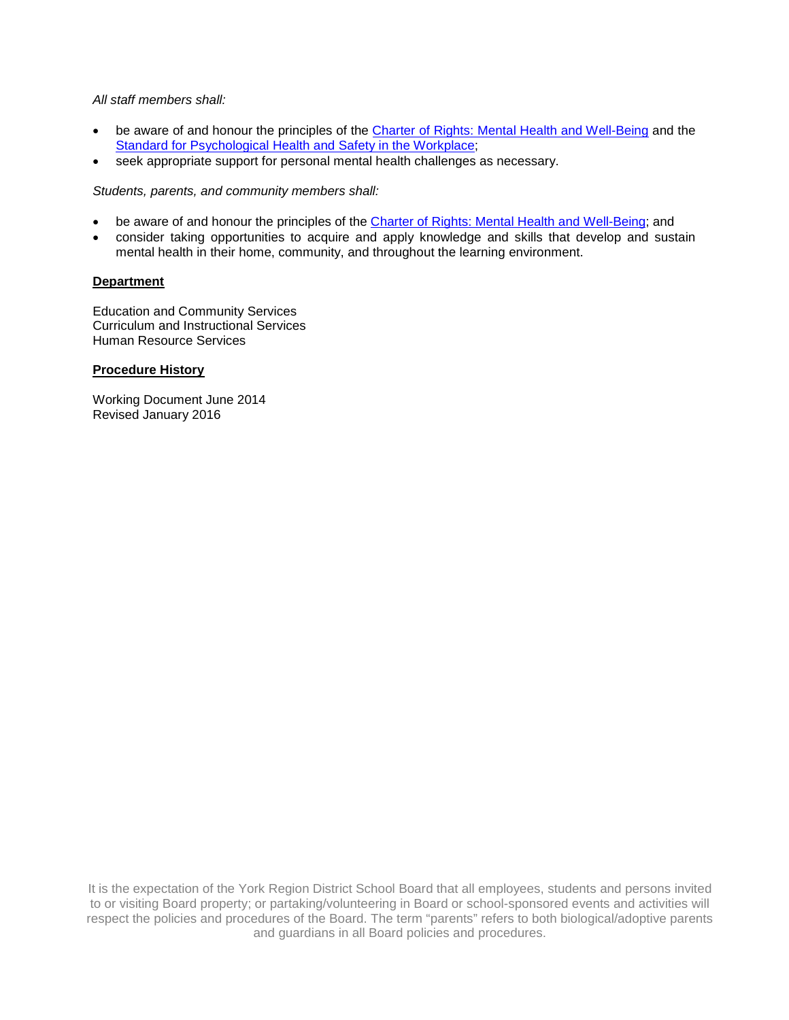## *All staff members shall:*

- be aware of and honour the principles of the [Charter of Rights: Mental Health and Well-Being](http://www.opsba.org/index.php?q=system/files/CC%26YMH_CharterOfRights_EN.pdf) and the [Standard for Psychological Health and Safety in the Workplace;](http://shop.csa.ca/en/canada/occupational-health-and-safety-management/cancsa-z1003-13bnq-9700-8032013/invt/z10032013/?utm_source=redirect&utm_medium=vanity&utm_content=folder&utm_campaign=z1003)
- seek appropriate support for personal mental health challenges as necessary.

*Students, parents, and community members shall:*

- be aware of and honour the principles of the [Charter of Rights: Mental Health and Well-Being;](http://www.opsba.org/index.php?q=system/files/CC%26YMH_CharterOfRights_EN.pdf) and
- consider taking opportunities to acquire and apply knowledge and skills that develop and sustain mental health in their home, community, and throughout the learning environment.

## **Department**

Education and Community Services Curriculum and Instructional Services Human Resource Services

## **Procedure History**

Working Document June 2014 Revised January 2016

It is the expectation of the York Region District School Board that all employees, students and persons invited to or visiting Board property; or partaking/volunteering in Board or school-sponsored events and activities will respect the policies and procedures of the Board. The term "parents" refers to both biological/adoptive parents and guardians in all Board policies and procedures.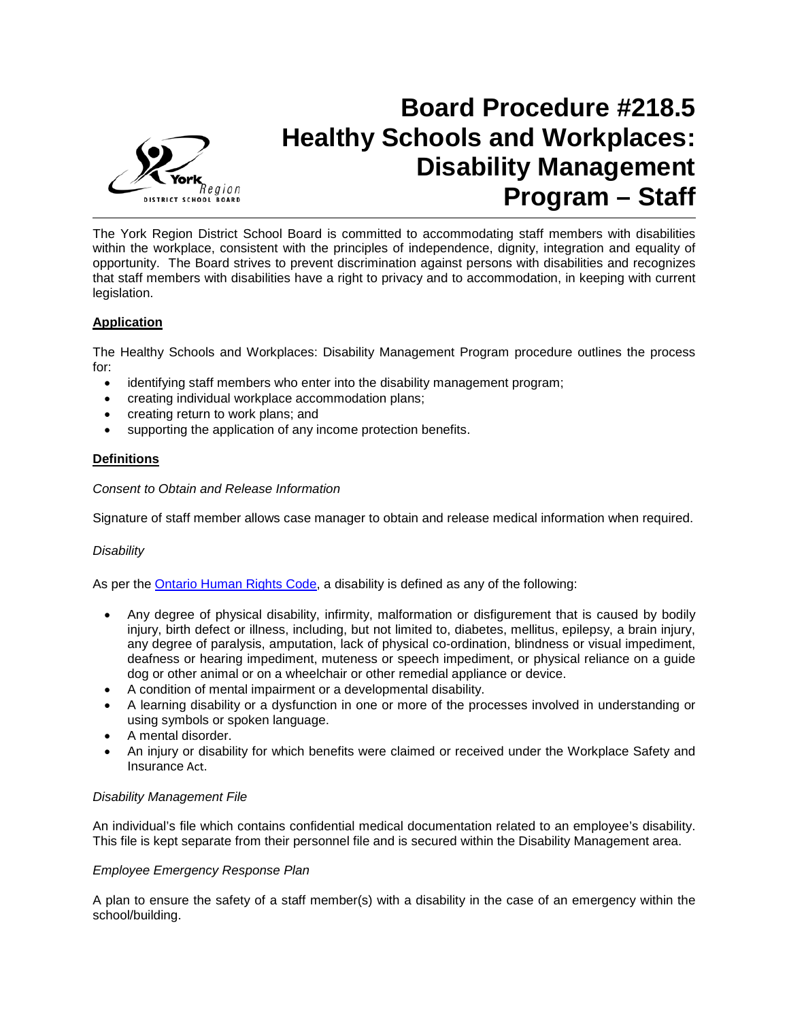

## **Board Procedure #218.5 Healthy Schools and Workplaces: Disability Management Program – Staff**

The York Region District School Board is committed to accommodating staff members with disabilities within the workplace, consistent with the principles of independence, dignity, integration and equality of opportunity. The Board strives to prevent discrimination against persons with disabilities and recognizes that staff members with disabilities have a right to privacy and to accommodation, in keeping with current legislation.

## **Application**

The Healthy Schools and Workplaces: Disability Management Program procedure outlines the process for:

- identifying staff members who enter into the disability management program;
- creating individual workplace accommodation plans;
- creating return to work plans; and
- supporting the application of any income protection benefits.

## **Definitions**

## *Consent to Obtain and Release Information*

Signature of staff member allows case manager to obtain and release medical information when required.

## *Disability*

As per the [Ontario Human Rights Code,](http://www.e-laws.gov.on.ca/html/statutes/english/elaws_statutes_90h19_e.htm) a disability is defined as any of the following:

- Any degree of physical disability, infirmity, malformation or disfigurement that is caused by bodily injury, birth defect or illness, including, but not limited to, diabetes, mellitus, epilepsy, a brain injury, any degree of paralysis, amputation, lack of physical co-ordination, blindness or visual impediment, deafness or hearing impediment, muteness or speech impediment, or physical reliance on a guide dog or other animal or on a wheelchair or other remedial appliance or device.
- A condition of mental impairment or a developmental disability.
- A learning disability or a dysfunction in one or more of the processes involved in understanding or using symbols or spoken language.
- A mental disorder.
- An injury or disability for which benefits were claimed or received under the Workplace Safety and Insurance Act.

## *Disability Management File*

An individual's file which contains confidential medical documentation related to an employee's disability. This file is kept separate from their personnel file and is secured within the Disability Management area.

## *Employee Emergency Response Plan*

A plan to ensure the safety of a staff member(s) with a disability in the case of an emergency within the school/building.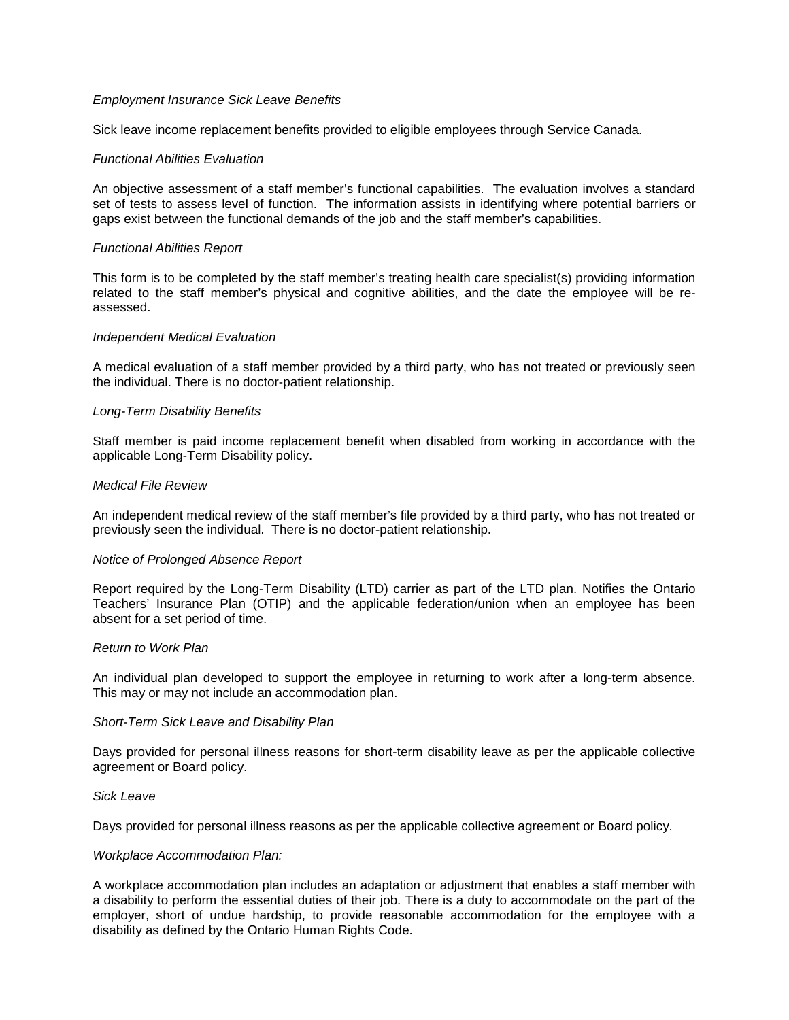## *Employment Insurance Sick Leave Benefits*

Sick leave income replacement benefits provided to eligible employees through Service Canada.

#### *Functional Abilities Evaluation*

An objective assessment of a staff member's functional capabilities. The evaluation involves a standard set of tests to assess level of function. The information assists in identifying where potential barriers or gaps exist between the functional demands of the job and the staff member's capabilities.

#### *Functional Abilities Report*

This form is to be completed by the staff member's treating health care specialist(s) providing information related to the staff member's physical and cognitive abilities, and the date the employee will be reassessed.

#### *Independent Medical Evaluation*

A medical evaluation of a staff member provided by a third party, who has not treated or previously seen the individual. There is no doctor-patient relationship.

#### *Long-Term Disability Benefits*

Staff member is paid income replacement benefit when disabled from working in accordance with the applicable Long-Term Disability policy.

#### *Medical File Review*

An independent medical review of the staff member's file provided by a third party, who has not treated or previously seen the individual. There is no doctor-patient relationship.

#### *Notice of Prolonged Absence Report*

Report required by the Long-Term Disability (LTD) carrier as part of the LTD plan. Notifies the Ontario Teachers' Insurance Plan (OTIP) and the applicable federation/union when an employee has been absent for a set period of time.

#### *Return to Work Plan*

An individual plan developed to support the employee in returning to work after a long-term absence. This may or may not include an accommodation plan.

#### *Short-Term Sick Leave and Disability Plan*

Days provided for personal illness reasons for short-term disability leave as per the applicable collective agreement or Board policy.

#### *Sick Leave*

Days provided for personal illness reasons as per the applicable collective agreement or Board policy.

#### *Workplace Accommodation Plan:*

A workplace accommodation plan includes an adaptation or adjustment that enables a staff member with a disability to perform the essential duties of their job. There is a duty to accommodate on the part of the employer, short of undue hardship, to provide reasonable accommodation for the employee with a disability as defined by the Ontario Human Rights Code.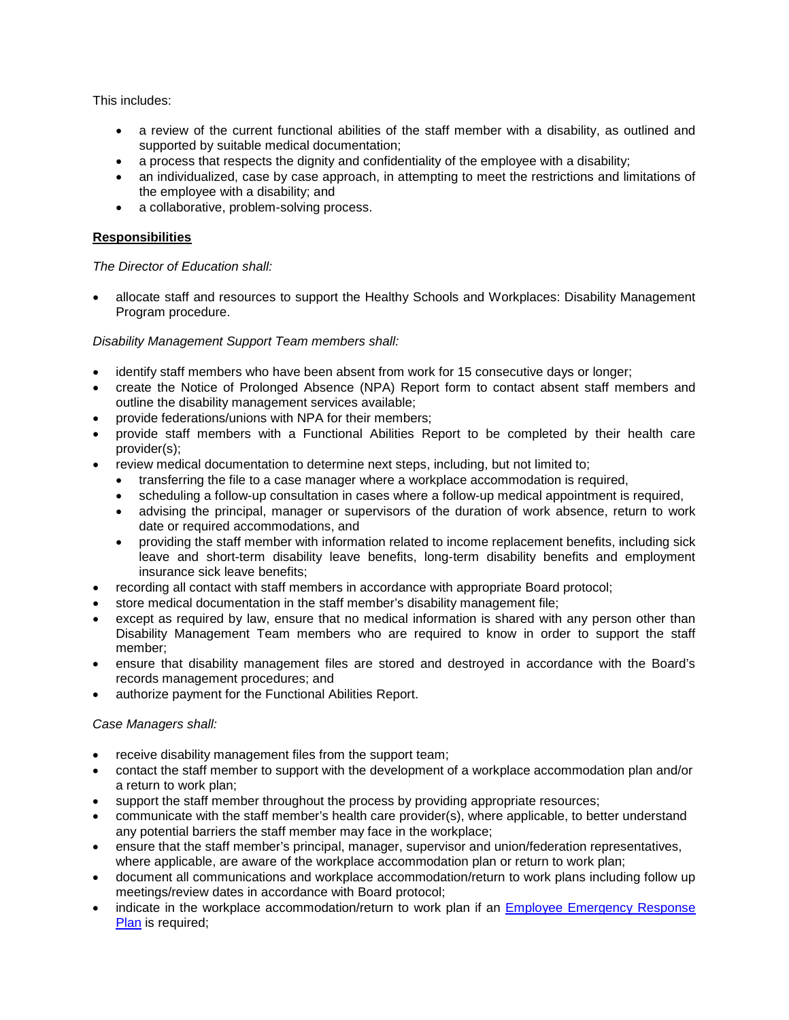This includes:

- a review of the current functional abilities of the staff member with a disability, as outlined and supported by suitable medical documentation;
- a process that respects the dignity and confidentiality of the employee with a disability;
- an individualized, case by case approach, in attempting to meet the restrictions and limitations of the employee with a disability; and
- a collaborative, problem-solving process.

## **Responsibilities**

## *The Director of Education shall:*

• allocate staff and resources to support the Healthy Schools and Workplaces: Disability Management Program procedure.

## *Disability Management Support Team members shall:*

- identify staff members who have been absent from work for 15 consecutive days or longer;
- create the Notice of Prolonged Absence (NPA) Report form to contact absent staff members and outline the disability management services available;
- provide federations/unions with NPA for their members;
- provide staff members with a Functional Abilities Report to be completed by their health care provider(s);
- review medical documentation to determine next steps, including, but not limited to;
	- transferring the file to a case manager where a workplace accommodation is required,
	- scheduling a follow-up consultation in cases where a follow-up medical appointment is required,
	- advising the principal, manager or supervisors of the duration of work absence, return to work date or required accommodations, and
	- providing the staff member with information related to income replacement benefits, including sick leave and short-term disability leave benefits, long-term disability benefits and employment insurance sick leave benefits;
- recording all contact with staff members in accordance with appropriate Board protocol;
- store medical documentation in the staff member's disability management file;
- except as required by law, ensure that no medical information is shared with any person other than Disability Management Team members who are required to know in order to support the staff member;
- ensure that disability management files are stored and destroyed in accordance with the Board's records management procedures; and
- authorize payment for the Functional Abilities Report.

## *Case Managers shall:*

- receive disability management files from the support team;
- contact the staff member to support with the development of a workplace accommodation plan and/or a return to work plan;
- support the staff member throughout the process by providing appropriate resources;
- communicate with the staff member's health care provider(s), where applicable, to better understand any potential barriers the staff member may face in the workplace;
- ensure that the staff member's principal, manager, supervisor and union/federation representatives, where applicable, are aware of the workplace accommodation plan or return to work plan;
- document all communications and workplace accommodation/return to work plans including follow up meetings/review dates in accordance with Board protocol;
- indicate in the workplace accommodation/return to work plan if an Employee Emergency Response [Plan](https://bww.yrdsb.ca/boarddocs/Documents/SD-WorkplaceEmergencyResponsePlan.pdf) is required;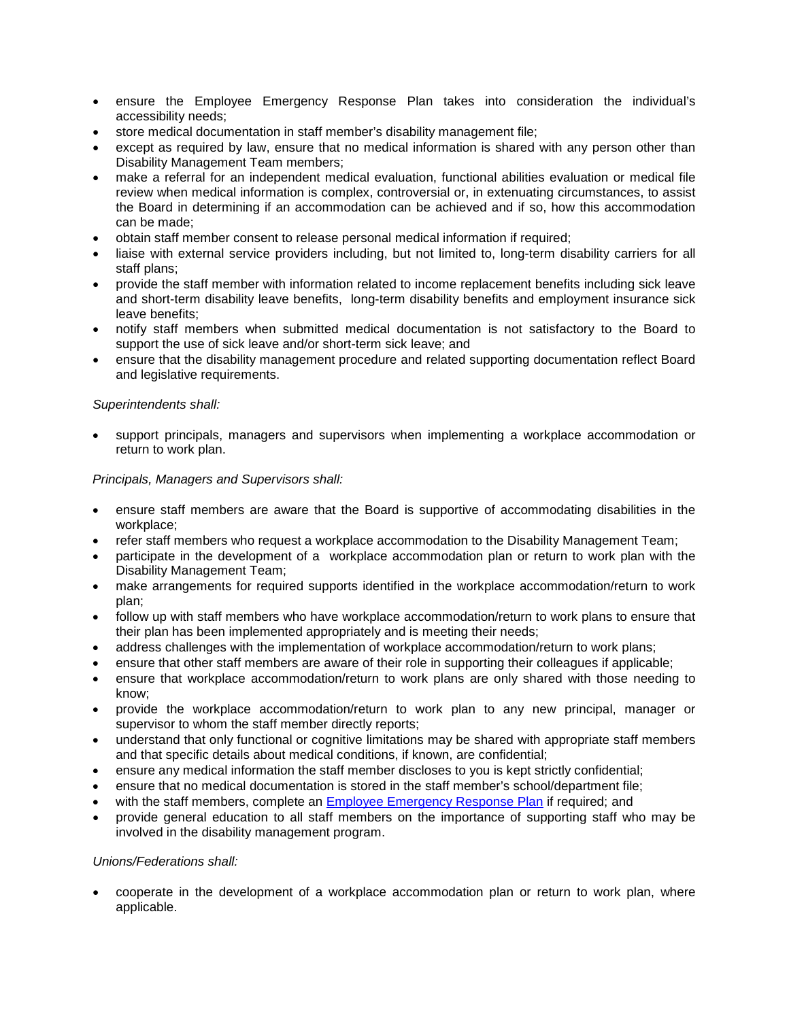- ensure the Employee Emergency Response Plan takes into consideration the individual's accessibility needs;
- store medical documentation in staff member's disability management file;
- except as required by law, ensure that no medical information is shared with any person other than Disability Management Team members;
- make a referral for an independent medical evaluation, functional abilities evaluation or medical file review when medical information is complex, controversial or, in extenuating circumstances, to assist the Board in determining if an accommodation can be achieved and if so, how this accommodation can be made;
- obtain staff member consent to release personal medical information if required;
- liaise with external service providers including, but not limited to, long-term disability carriers for all staff plans;
- provide the staff member with information related to income replacement benefits including sick leave and short-term disability leave benefits, long-term disability benefits and employment insurance sick leave benefits;
- notify staff members when submitted medical documentation is not satisfactory to the Board to support the use of sick leave and/or short-term sick leave; and
- ensure that the disability management procedure and related supporting documentation reflect Board and legislative requirements.

## *Superintendents shall:*

• support principals, managers and supervisors when implementing a workplace accommodation or return to work plan.

#### *Principals, Managers and Supervisors shall:*

- ensure staff members are aware that the Board is supportive of accommodating disabilities in the workplace;
- refer staff members who request a workplace accommodation to the Disability Management Team;
- participate in the development of a workplace accommodation plan or return to work plan with the Disability Management Team;
- make arrangements for required supports identified in the workplace accommodation/return to work plan;
- follow up with staff members who have workplace accommodation/return to work plans to ensure that their plan has been implemented appropriately and is meeting their needs;
- address challenges with the implementation of workplace accommodation/return to work plans;
- ensure that other staff members are aware of their role in supporting their colleagues if applicable;
- ensure that workplace accommodation/return to work plans are only shared with those needing to know;
- provide the workplace accommodation/return to work plan to any new principal, manager or supervisor to whom the staff member directly reports;
- understand that only functional or cognitive limitations may be shared with appropriate staff members and that specific details about medical conditions, if known, are confidential;
- ensure any medical information the staff member discloses to you is kept strictly confidential;
- ensure that no medical documentation is stored in the staff member's school/department file;
- with the staff members, complete an **Employee Emergency Response Plan** if required; and
- provide general education to all staff members on the importance of supporting staff who may be involved in the disability management program.

## *Unions/Federations shall:*

• cooperate in the development of a workplace accommodation plan or return to work plan, where applicable.